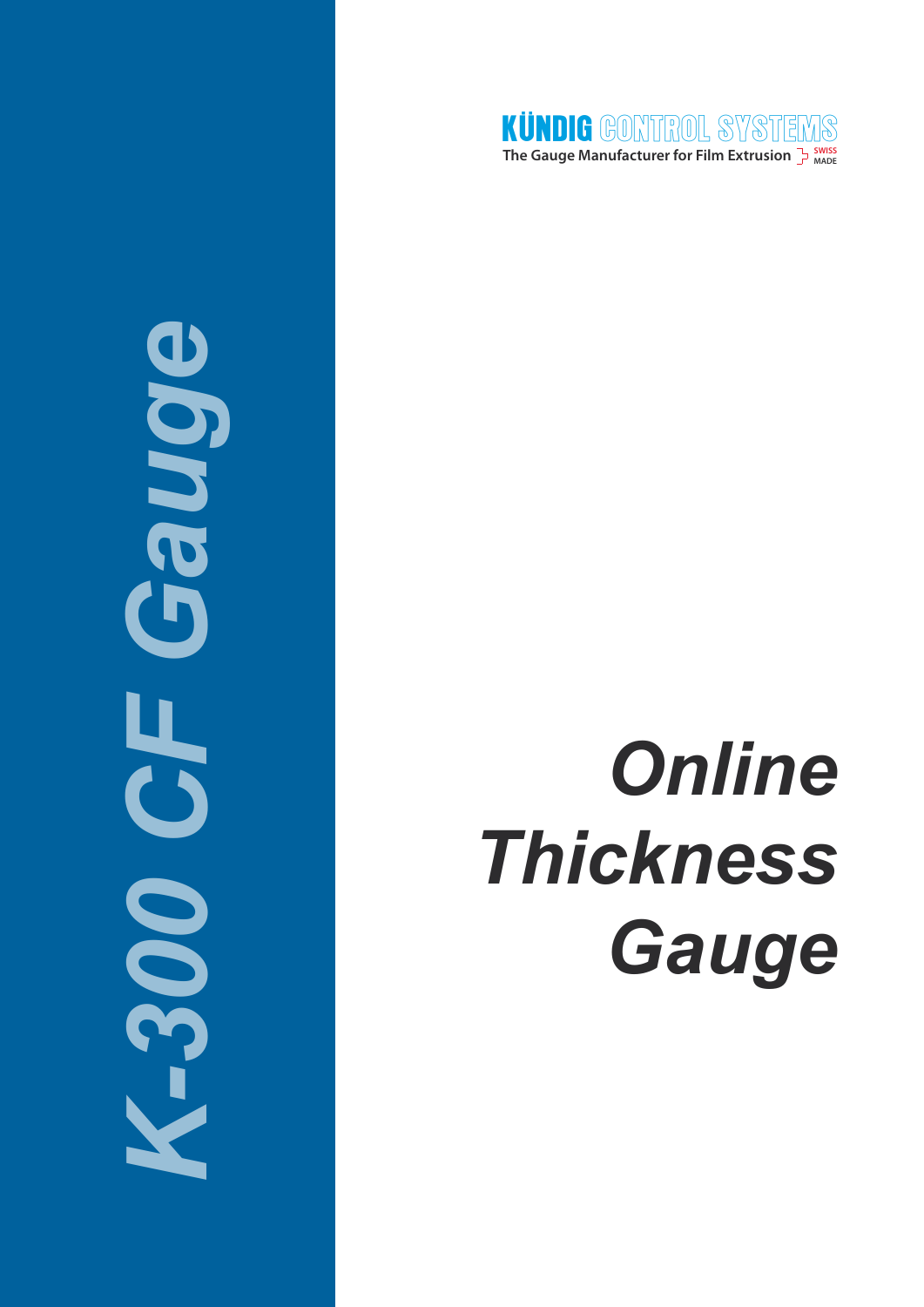

# Bone *K-300 CF Gauge* 5 ä **DOG**

# *Online Thickness Gauge*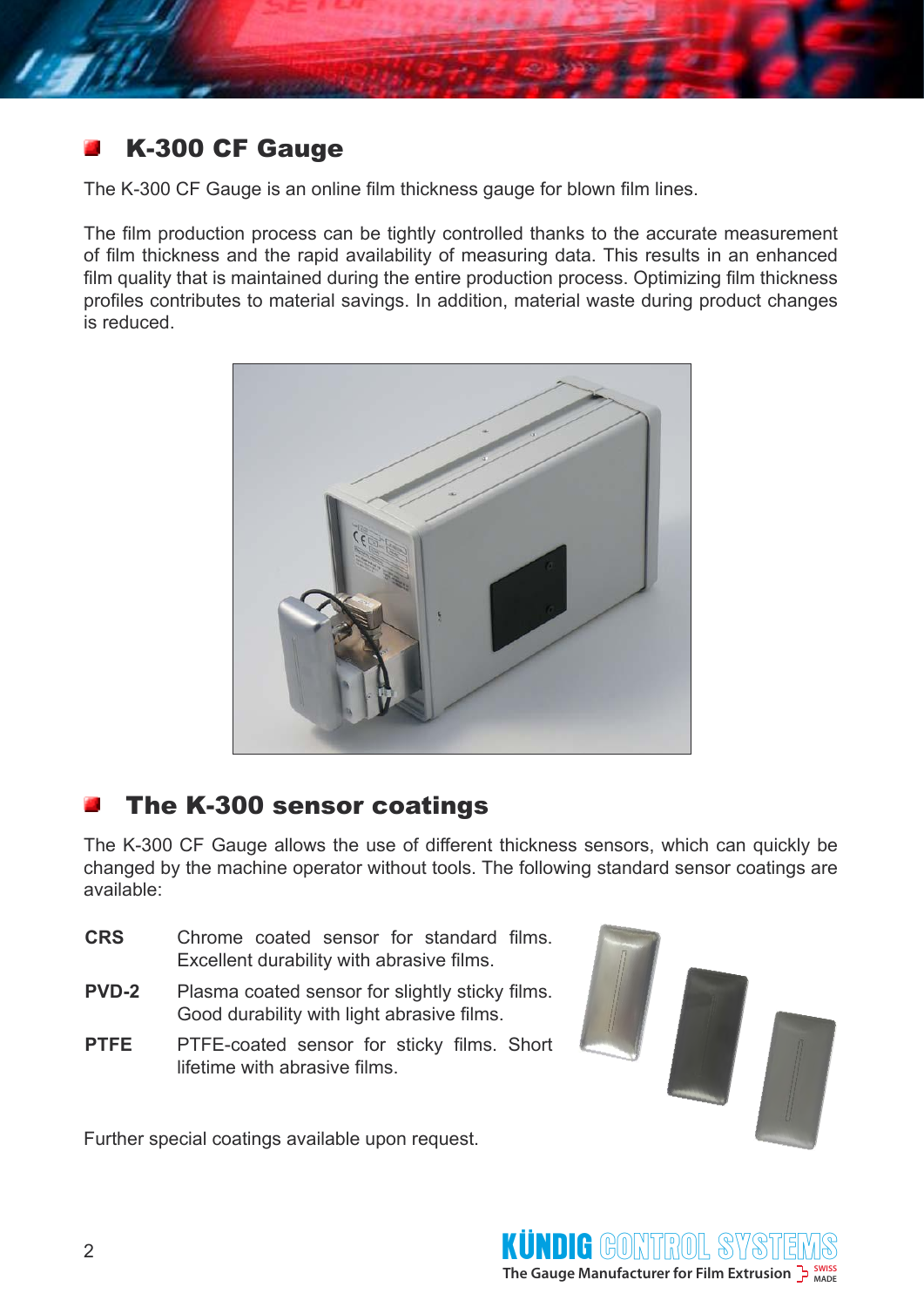

# K-300 CF Gauge

The K-300 CF Gauge is an online film thickness gauge for blown film lines.

The film production process can be tightly controlled thanks to the accurate measurement of film thickness and the rapid availability of measuring data. This results in an enhanced film quality that is maintained during the entire production process. Optimizing film thickness profiles contributes to material savings. In addition, material waste during product changes is reduced.



### The K-300 sensor coatings

The K-300 CF Gauge allows the use of different thickness sensors, which can quickly be changed by the machine operator without tools. The following standard sensor coatings are available:

- **CRS** Chrome coated sensor for standard films. Excellent durability with abrasive films.
- **PVD-2** Plasma coated sensor for slightly sticky films. Good durability with light abrasive films.
- PTFE PTFE-coated sensor for sticky films. Short lifetime with abrasive films.

Further special coatings available upon request.



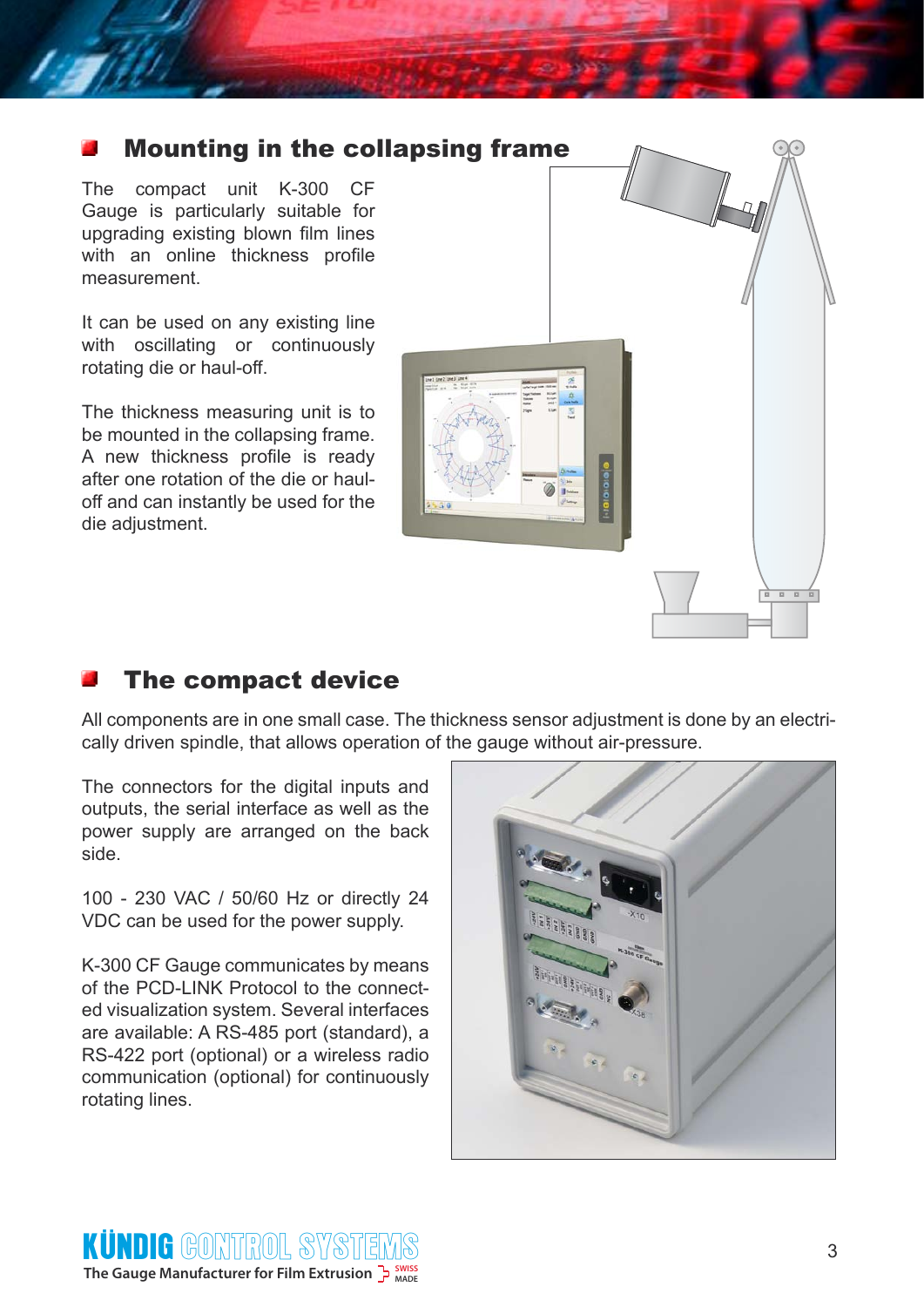# Mounting in the collapsing frame

The compact unit K-300 CF Gauge is particularly suitable for upgrading existing blown film lines with an online thickness profile measurement.

It can be used on any existing line with oscillating or continuously rotating die or haul-off.

The thickness measuring unit is to be mounted in the collapsing frame. A new thickness profile is ready after one rotation of the die or hauloff and can instantly be used for the die adjustment.



### The compact device

All components are in one small case. The thickness sensor adjustment is done by an electrically driven spindle, that allows operation of the gauge without air-pressure.

The connectors for the digital inputs and outputs, the serial interface as well as the power supply are arranged on the back side.

100 - 230 VAC / 50/60 Hz or directly 24 VDC can be used for the power supply.

K-300 CF Gauge communicates by means of the PCD-LINK Protocol to the connected visualization system. Several interfaces are available: A RS-485 port (standard), a RS-422 port (optional) or a wireless radio communication (optional) for continuously rotating lines.



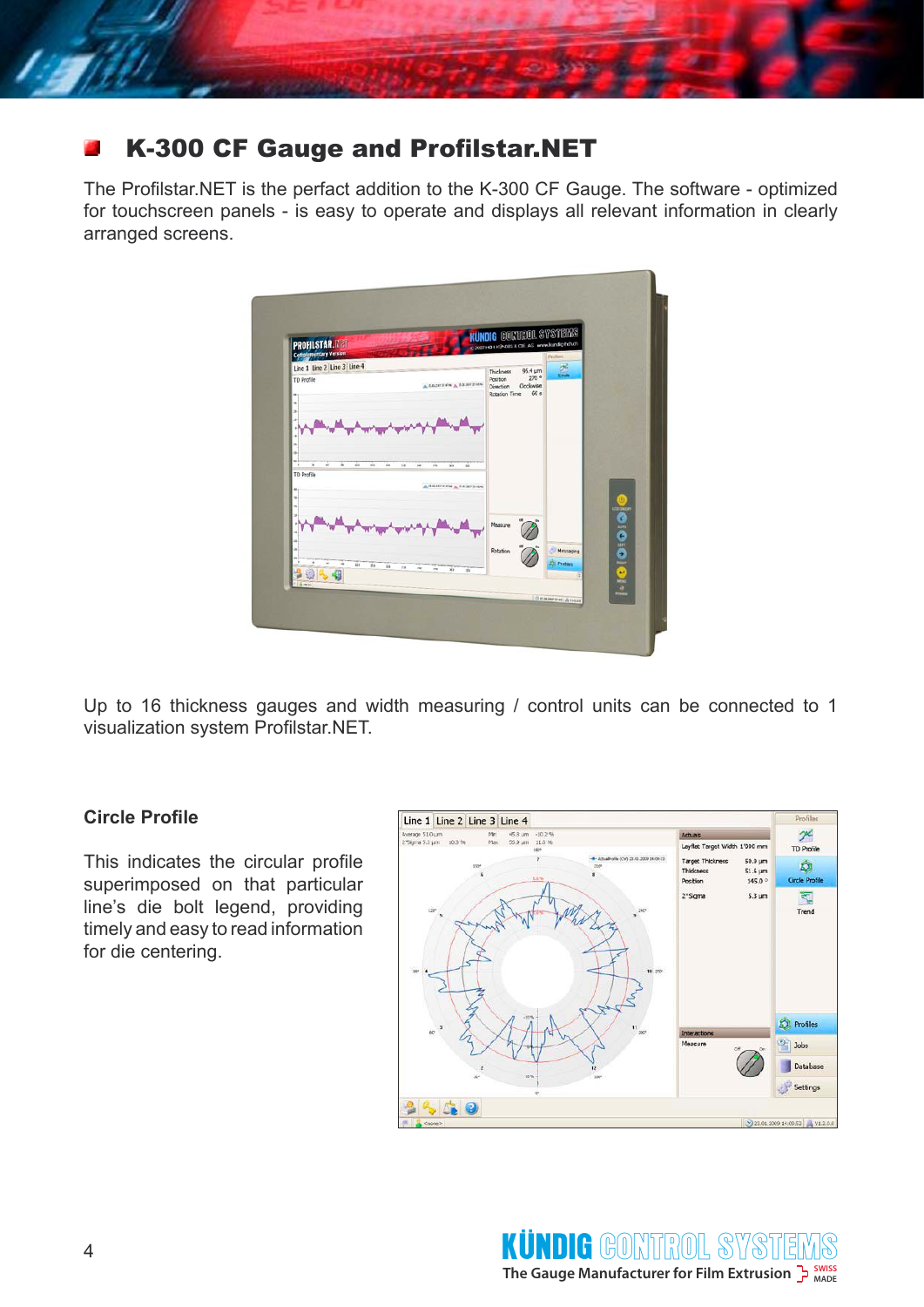

# K-300 CF Gauge and Profilstar.NET

The Profilstar.NET is the perfact addition to the K-300 CF Gauge. The software - optimized for touchscreen panels - is easy to operate and displays all relevant information in clearly arranged screens.



Up to 16 thickness gauges and width measuring / control units can be connected to 1 visualization system Profilstar.NET.

#### **Circle Profile**

This indicates the circular profile superimposed on that particular line's die bolt legend, providing timely and easy to read information for die centering.

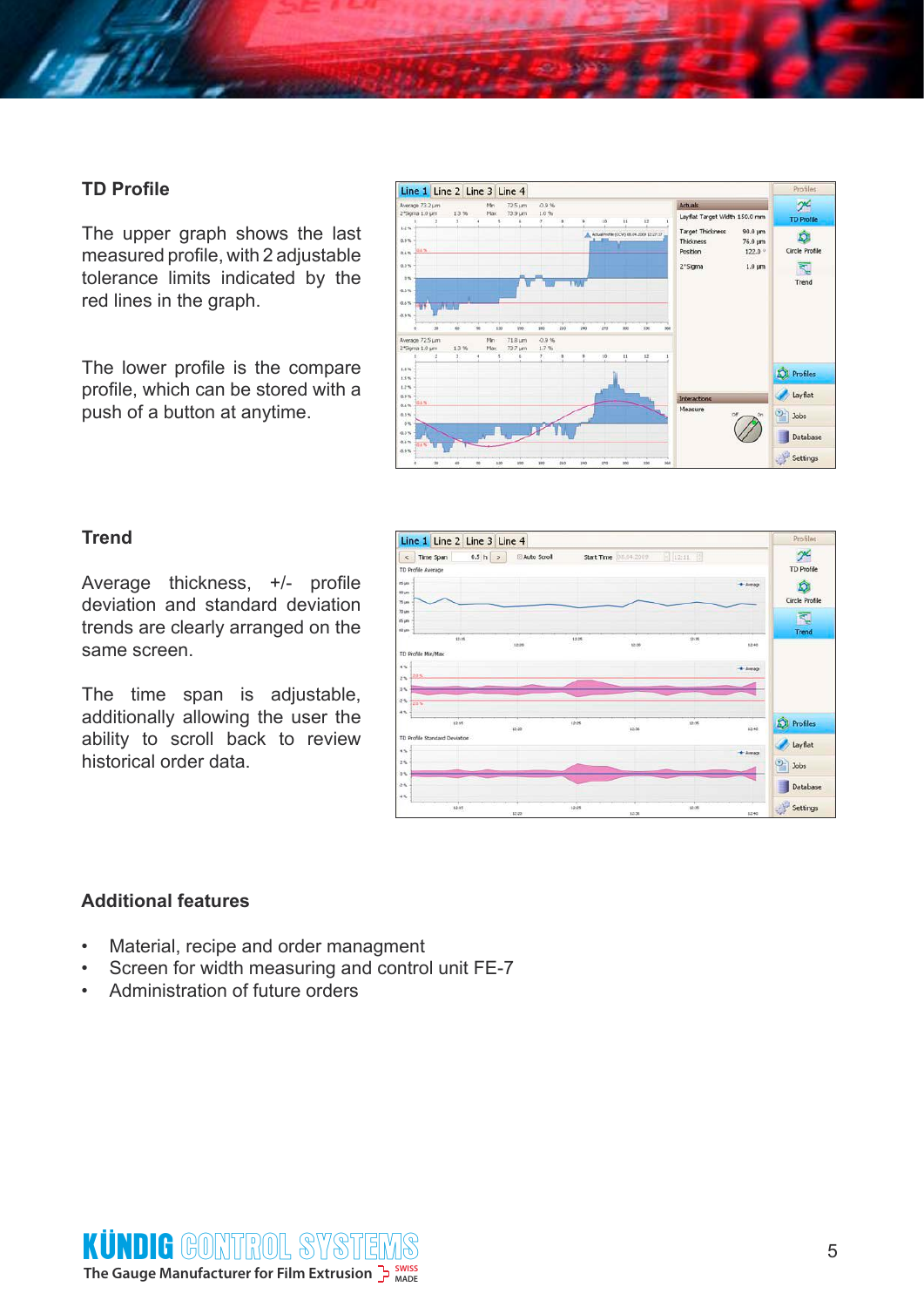#### **TD Profile**

The upper graph shows the last measured profile, with 2 adjustable tolerance limits indicated by the red lines in the graph.

The lower profile is the compare profile, which can be stored with a push of a button at anytime.



#### **Trend**

Average thickness, +/- profile deviation and standard deviation trends are clearly arranged on the same screen.

The time span is adjustable, additionally allowing the user the ability to scroll back to review historical order data.



#### **Additional features**

- Material, recipe and order managment
- Screen for width measuring and control unit FE-7
- Administration of future orders

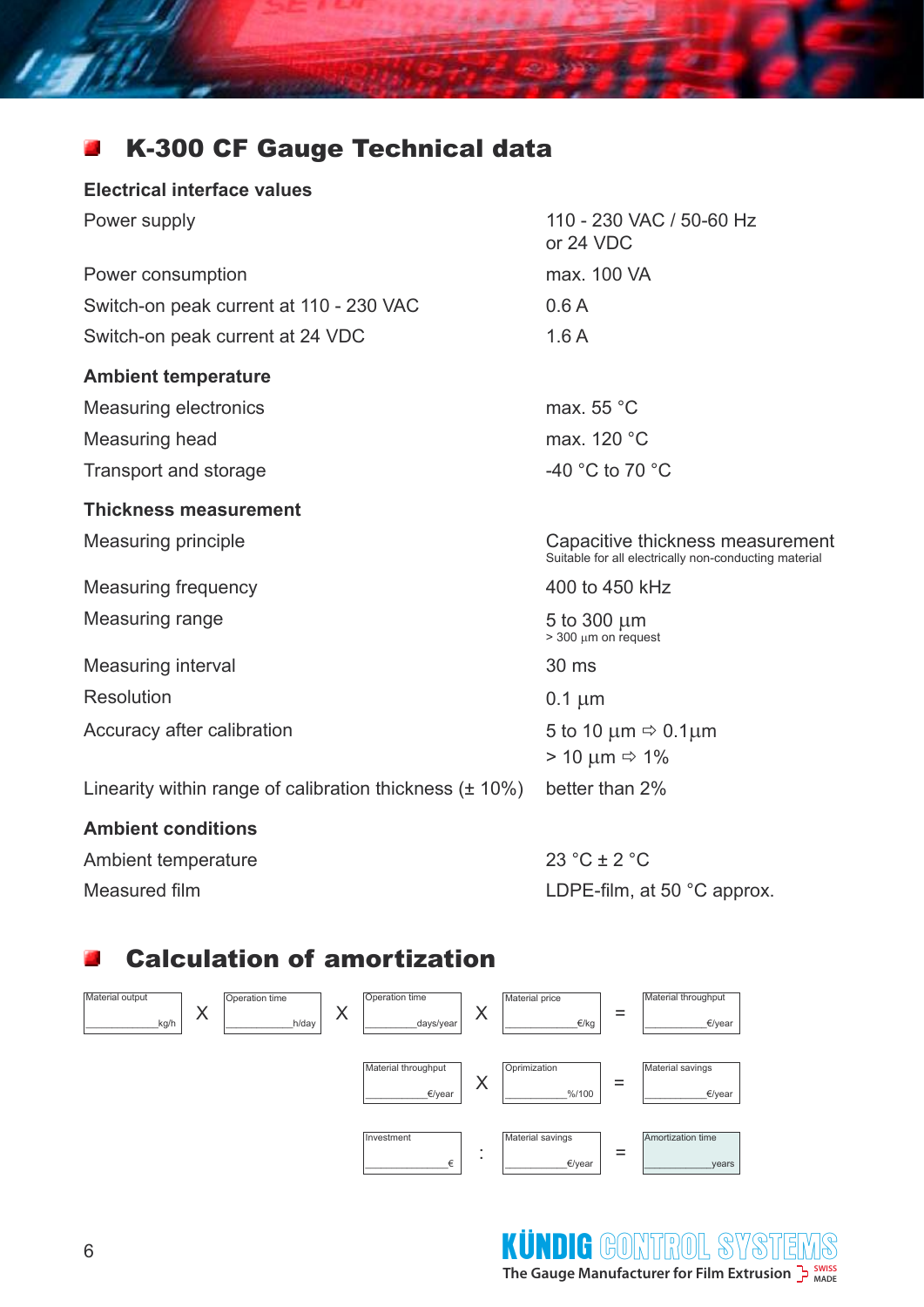#### K-300 CF Gauge Technical data 凸

#### **Electrical interface values**

**STIP** 

| Power supply                                                 | 110 - 230 VAC / 50-60 Hz<br>or 24 VDC                                                     |
|--------------------------------------------------------------|-------------------------------------------------------------------------------------------|
| Power consumption                                            | max. 100 VA                                                                               |
| Switch-on peak current at 110 - 230 VAC                      | 0.6A                                                                                      |
| Switch-on peak current at 24 VDC                             | 1.6A                                                                                      |
| <b>Ambient temperature</b>                                   |                                                                                           |
| <b>Measuring electronics</b>                                 | max. $55^{\circ}$ C                                                                       |
| Measuring head                                               | max. 120 °C                                                                               |
| Transport and storage                                        | -40 $^{\circ}$ C to 70 $^{\circ}$ C                                                       |
| <b>Thickness measurement</b>                                 |                                                                                           |
| <b>Measuring principle</b>                                   | Capacitive thickness measurement<br>Suitable for all electrically non-conducting material |
| <b>Measuring frequency</b>                                   | 400 to 450 kHz                                                                            |
| Measuring range                                              | 5 to 300 $\mu$ m<br>$>$ 300 µm on request                                                 |
| Measuring interval                                           | 30 ms                                                                                     |
| Resolution                                                   | $0.1 \mu m$                                                                               |
| Accuracy after calibration                                   | 5 to 10 $\mu$ m $\Rightarrow$ 0.1 $\mu$ m<br>$> 10 \mu m \Rightarrow 1\%$                 |
| Linearity within range of calibration thickness $(\pm 10\%)$ | better than 2%                                                                            |

#### **Ambient conditions**

Ambient temperature 23 °C ± 2 °C

Measured film **LOPE-film, at 50 °C approx.** 

#### Calculation of amortization 뽜



<sup>6</sup> CONTROL SYSTEMS**SWISS The Gauge Manufacturer for Film Extrusion MADE** KÜNDIG GONTEROL SY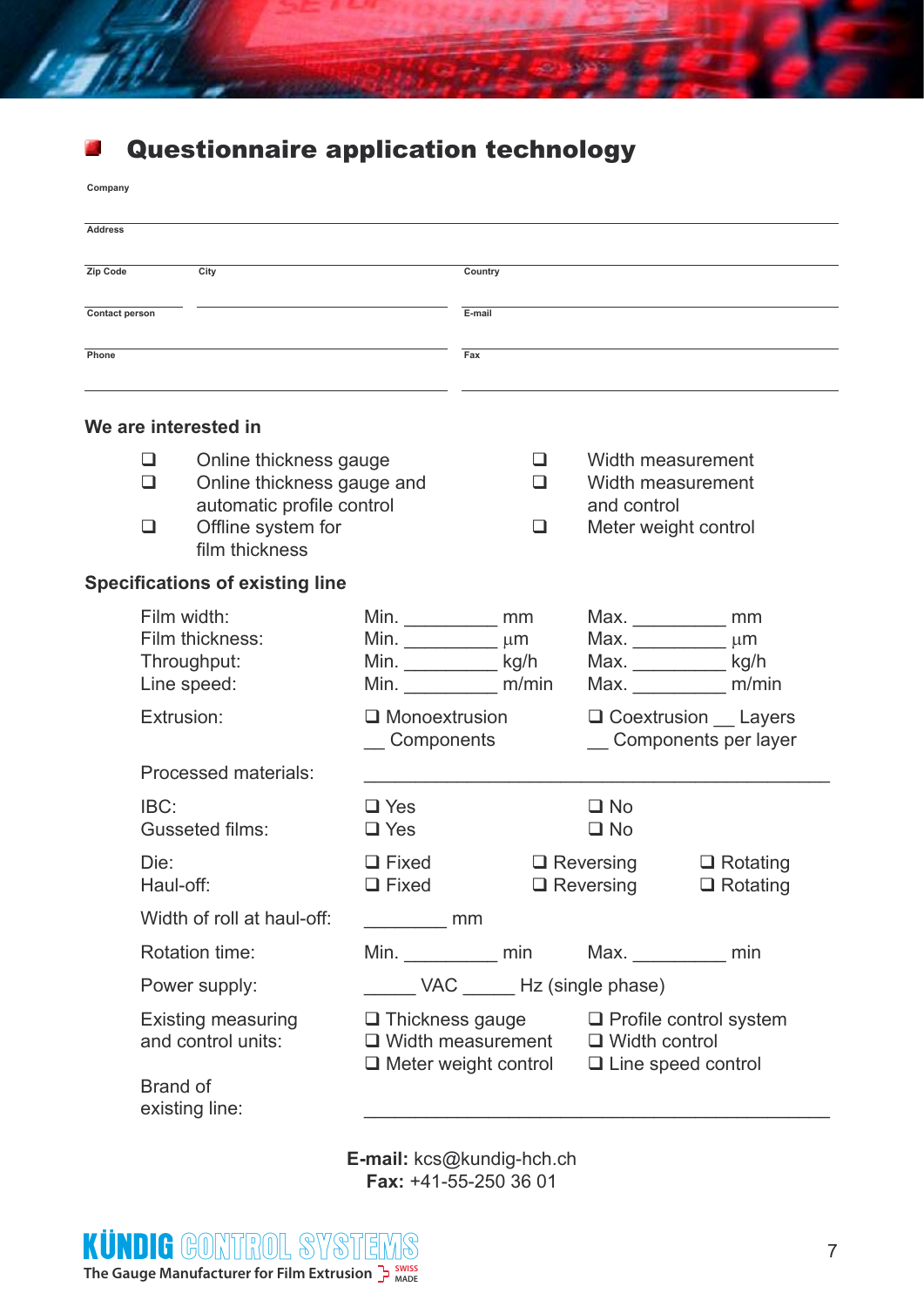

# Questionnaire application technology

**Company**

| <b>Address</b> |                                                      |                                                          |                                                                       |                                                                                   |                                                          |                                                                                    |                      |
|----------------|------------------------------------------------------|----------------------------------------------------------|-----------------------------------------------------------------------|-----------------------------------------------------------------------------------|----------------------------------------------------------|------------------------------------------------------------------------------------|----------------------|
| Zip Code       |                                                      | City                                                     |                                                                       | Country                                                                           |                                                          |                                                                                    |                      |
| Contact person |                                                      |                                                          | E-mail                                                                |                                                                                   |                                                          |                                                                                    |                      |
| Phone          |                                                      |                                                          |                                                                       | Fax                                                                               |                                                          |                                                                                    |                      |
|                |                                                      | We are interested in                                     |                                                                       |                                                                                   |                                                          |                                                                                    |                      |
|                | ப                                                    | Online thickness gauge                                   |                                                                       | ப                                                                                 |                                                          | Width measurement                                                                  |                      |
|                | Online thickness gauge and<br>❏                      |                                                          | ◻                                                                     |                                                                                   | Width measurement                                        |                                                                                    |                      |
|                | automatic profile control<br>Offline system for<br>□ |                                                          | □                                                                     |                                                                                   | and control<br>Meter weight control                      |                                                                                    |                      |
|                |                                                      | film thickness<br><b>Specifications of existing line</b> |                                                                       |                                                                                   |                                                          |                                                                                    |                      |
|                |                                                      |                                                          |                                                                       |                                                                                   |                                                          |                                                                                    |                      |
|                | Film width:                                          | Film thickness:                                          | Min. $\_\_\_\_\_\_\_\$ mm                                             |                                                                                   |                                                          |                                                                                    | $Max.$ mm<br>$\mu$ m |
|                |                                                      | Throughput:                                              | Min. $\frac{1}{\sqrt{1-\frac{1}{2}}}\mu m$<br>Min. _____________ kg/h |                                                                                   |                                                          | Max.<br>Max. $\qquad \qquad$                                                       | kg/h                 |
|                |                                                      | Line speed:                                              | Min. m/min                                                            |                                                                                   |                                                          | Max.                                                                               | m/min                |
|                | Extrusion:                                           |                                                          | $\Box$ Monoextrusion<br>Components                                    |                                                                                   | $\Box$ Coextrusion $\Box$ Layers<br>Components per layer |                                                                                    |                      |
|                | Processed materials:                                 |                                                          |                                                                       |                                                                                   |                                                          |                                                                                    |                      |
|                | IBC:                                                 |                                                          | $\square$ Yes                                                         |                                                                                   |                                                          | $\square$ No                                                                       |                      |
|                |                                                      | Gusseted films:                                          | $\Box$ Yes                                                            |                                                                                   |                                                          | $\square$ No                                                                       |                      |
|                | Die:                                                 |                                                          | $\Box$ Fixed                                                          |                                                                                   |                                                          | $\Box$ Reversing                                                                   | $\Box$ Rotating      |
|                | Haul-off:                                            |                                                          | $\Box$ Fixed                                                          |                                                                                   |                                                          | $\Box$ Reversing                                                                   | $\Box$ Rotating      |
|                | Width of roll at haul-off:                           |                                                          | <u>mm</u>                                                             |                                                                                   |                                                          |                                                                                    |                      |
|                |                                                      | Rotation time:                                           |                                                                       |                                                                                   |                                                          | Min. ____________ min Max. ___________ min                                         |                      |
|                |                                                      | Power supply:                                            |                                                                       | VAC ________ Hz (single phase)                                                    |                                                          |                                                                                    |                      |
|                |                                                      | <b>Existing measuring</b><br>and control units:          |                                                                       | $\Box$ Thickness gauge<br>$\Box$ Width measurement<br>$\Box$ Meter weight control |                                                          | $\Box$ Profile control system<br>$\Box$ Width control<br>$\Box$ Line speed control |                      |
|                | Brand of                                             | existing line:                                           |                                                                       |                                                                                   |                                                          |                                                                                    |                      |

**E-mail:** kcs@kundig-hch.ch **Fax:** +41-55-250 36 01